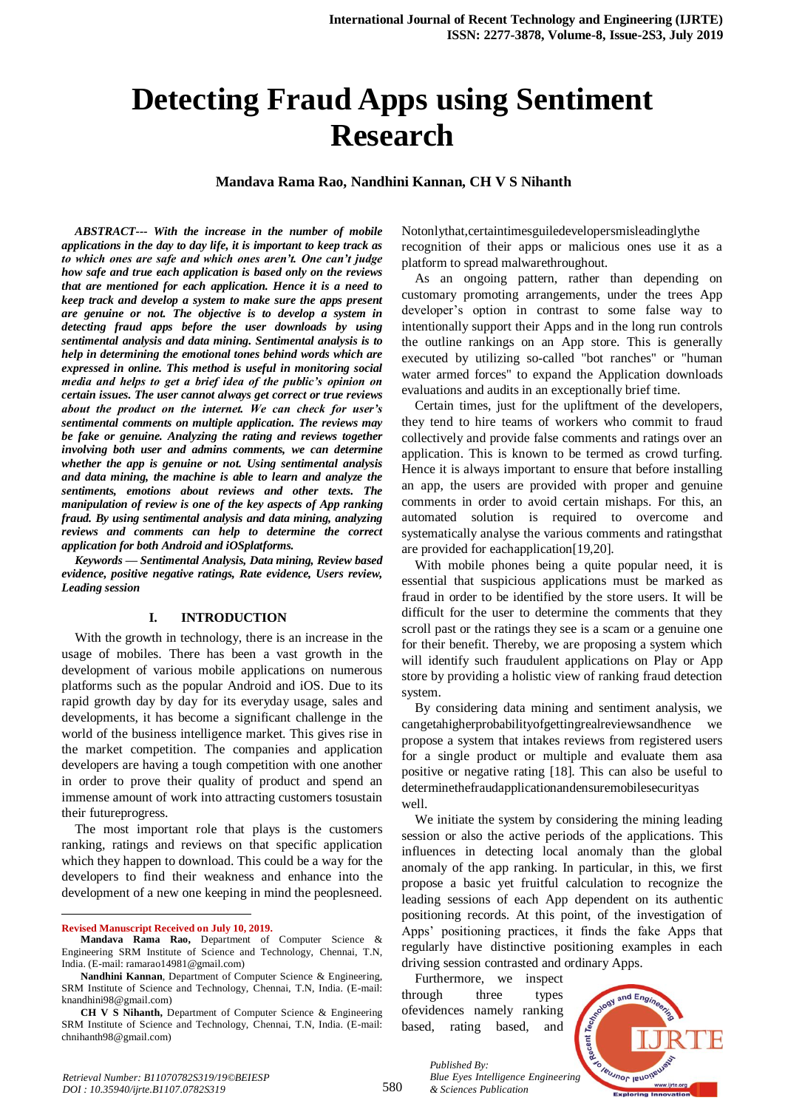# **Detecting Fraud Apps using Sentiment Research**

**Mandava Rama Rao, Nandhini Kannan, CH V S Nihanth** 

*ABSTRACT--- With the increase in the number of mobile applications in the day to day life, it is important to keep track as to which ones are safe and which ones aren't. One can't judge how safe and true each application is based only on the reviews that are mentioned for each application. Hence it is a need to keep track and develop a system to make sure the apps present are genuine or not. The objective is to develop a system in detecting fraud apps before the user downloads by using sentimental analysis and data mining. Sentimental analysis is to help in determining the emotional tones behind words which are expressed in online. This method is useful in monitoring social media and helps to get a brief idea of the public's opinion on certain issues. The user cannot always get correct or true reviews about the product on the internet. We can check for user's sentimental comments on multiple application. The reviews may be fake or genuine. Analyzing the rating and reviews together involving both user and admins comments, we can determine whether the app is genuine or not. Using sentimental analysis and data mining, the machine is able to learn and analyze the sentiments, emotions about reviews and other texts. The manipulation of review is one of the key aspects of App ranking fraud. By using sentimental analysis and data mining, analyzing reviews and comments can help to determine the correct application for both Android and iOSplatforms.*

*Keywords — Sentimental Analysis, Data mining, Review based evidence, positive negative ratings, Rate evidence, Users review, Leading session*

#### **I. INTRODUCTION**

With the growth in technology, there is an increase in the usage of mobiles. There has been a vast growth in the development of various mobile applications on numerous platforms such as the popular Android and iOS. Due to its rapid growth day by day for its everyday usage, sales and developments, it has become a significant challenge in the world of the business intelligence market. This gives rise in the market competition. The companies and application developers are having a tough competition with one another in order to prove their quality of product and spend an immense amount of work into attracting customers tosustain their futureprogress.

The most important role that plays is the customers ranking, ratings and reviews on that specific application which they happen to download. This could be a way for the developers to find their weakness and enhance into the development of a new one keeping in mind the peoplesneed.

**Revised Manuscript Received on July 10, 2019.**

 $\overline{a}$ 

Notonlythat,certaintimesguiledevelopersmisleadinglythe recognition of their apps or malicious ones use it as a platform to spread malwarethroughout.

As an ongoing pattern, rather than depending on customary promoting arrangements, under the trees App developer's option in contrast to some false way to intentionally support their Apps and in the long run controls the outline rankings on an App store. This is generally executed by utilizing so-called "bot ranches" or "human water armed forces" to expand the Application downloads evaluations and audits in an exceptionally brief time.

Certain times, just for the upliftment of the developers, they tend to hire teams of workers who commit to fraud collectively and provide false comments and ratings over an application. This is known to be termed as crowd turfing. Hence it is always important to ensure that before installing an app, the users are provided with proper and genuine comments in order to avoid certain mishaps. For this, an automated solution is required to overcome and systematically analyse the various comments and ratingsthat are provided for eachapplication[19,20].

With mobile phones being a quite popular need, it is essential that suspicious applications must be marked as fraud in order to be identified by the store users. It will be difficult for the user to determine the comments that they scroll past or the ratings they see is a scam or a genuine one for their benefit. Thereby, we are proposing a system which will identify such fraudulent applications on Play or App store by providing a holistic view of ranking fraud detection system.

By considering data mining and sentiment analysis, we cangetahigherprobabilityofgettingrealreviewsandhence we propose a system that intakes reviews from registered users for a single product or multiple and evaluate them asa positive or negative rating [18]. This can also be useful to determinethefraudapplicationandensuremobilesecurityas well.

We initiate the system by considering the mining leading session or also the active periods of the applications. This influences in detecting local anomaly than the global anomaly of the app ranking. In particular, in this, we first propose a basic yet fruitful calculation to recognize the leading sessions of each App dependent on its authentic positioning records. At this point, of the investigation of Apps' positioning practices, it finds the fake Apps that regularly have distinctive positioning examples in each driving session contrasted and ordinary Apps.

Furthermore, we inspect through three types ofevidences namely ranking based, rating based, and

*& Sciences Publication* 

*Published By:*



**Mandava Rama Rao,** Department of Computer Science & Engineering SRM Institute of Science and Technology, Chennai, T.N, India. (E-mail: ramarao14981@gmail.com)

**Nandhini Kannan**, Department of Computer Science & Engineering, SRM Institute of Science and Technology, Chennai, T.N, India. (E-mail: knandhini98@gmail.com)

**CH V S Nihanth,** Department of Computer Science & Engineering SRM Institute of Science and Technology, Chennai, T.N, India. (E-mail: chnihanth98@gmail.com)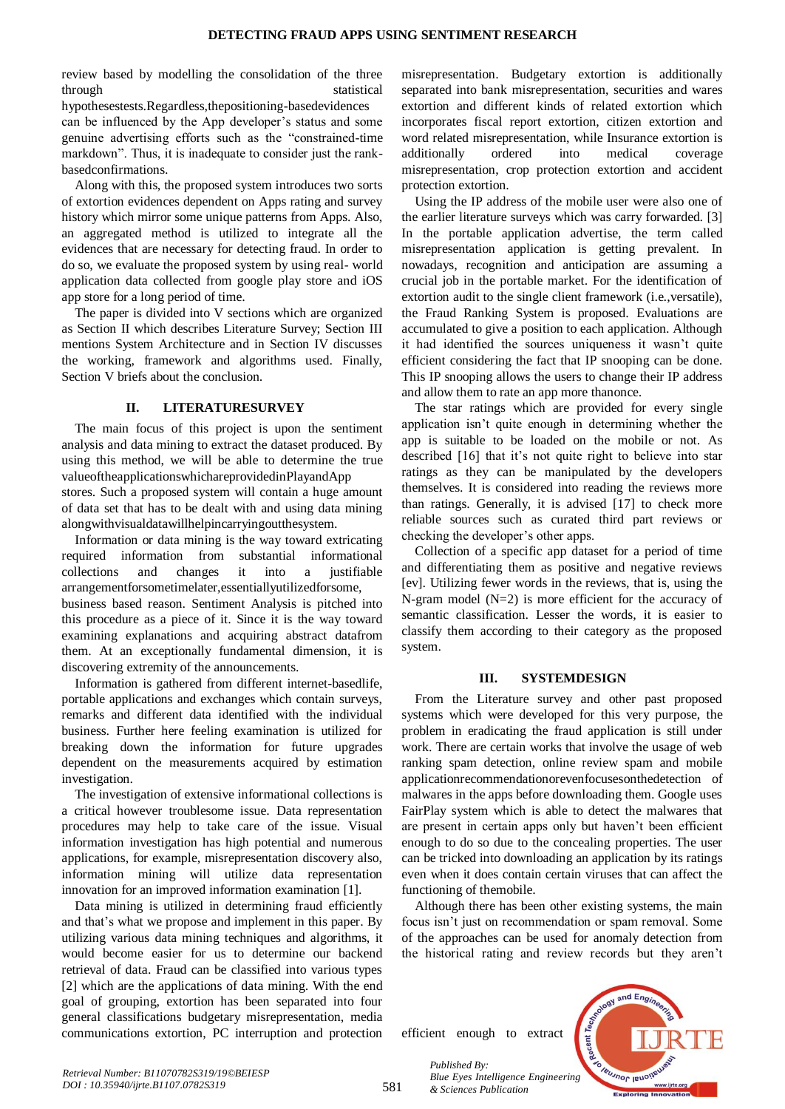review based by modelling the consolidation of the three through statistical statistical

hypothesestests.Regardless,thepositioning-basedevidences can be influenced by the App developer's status and some genuine advertising efforts such as the "constrained-time markdown". Thus, it is inadequate to consider just the rankbasedconfirmations.

Along with this, the proposed system introduces two sorts of extortion evidences dependent on Apps rating and survey history which mirror some unique patterns from Apps. Also, an aggregated method is utilized to integrate all the evidences that are necessary for detecting fraud. In order to do so, we evaluate the proposed system by using real- world application data collected from google play store and iOS app store for a long period of time.

The paper is divided into V sections which are organized as Section II which describes Literature Survey; Section III mentions System Architecture and in Section IV discusses the working, framework and algorithms used. Finally, Section V briefs about the conclusion.

## **II. LITERATURESURVEY**

The main focus of this project is upon the sentiment analysis and data mining to extract the dataset produced. By using this method, we will be able to determine the true valueoftheapplicationswhichareprovidedinPlayandApp stores. Such a proposed system will contain a huge amount of data set that has to be dealt with and using data mining alongwithvisualdatawillhelpincarryingoutthesystem.

Information or data mining is the way toward extricating required information from substantial informational collections and changes it into a justifiable arrangementforsometimelater,essentiallyutilizedforsome, business based reason. Sentiment Analysis is pitched into this procedure as a piece of it. Since it is the way toward examining explanations and acquiring abstract datafrom them. At an exceptionally fundamental dimension, it is discovering extremity of the announcements.

Information is gathered from different internet-basedlife, portable applications and exchanges which contain surveys, remarks and different data identified with the individual business. Further here feeling examination is utilized for breaking down the information for future upgrades dependent on the measurements acquired by estimation investigation.

The investigation of extensive informational collections is a critical however troublesome issue. Data representation procedures may help to take care of the issue. Visual information investigation has high potential and numerous applications, for example, misrepresentation discovery also, information mining will utilize data representation innovation for an improved information examination [1].

Data mining is utilized in determining fraud efficiently and that's what we propose and implement in this paper. By utilizing various data mining techniques and algorithms, it would become easier for us to determine our backend retrieval of data. Fraud can be classified into various types [2] which are the applications of data mining. With the end goal of grouping, extortion has been separated into four general classifications budgetary misrepresentation, media communications extortion, PC interruption and protection

misrepresentation. Budgetary extortion is additionally separated into bank misrepresentation, securities and wares extortion and different kinds of related extortion which incorporates fiscal report extortion, citizen extortion and word related misrepresentation, while Insurance extortion is additionally ordered into medical coverage misrepresentation, crop protection extortion and accident protection extortion.

Using the IP address of the mobile user were also one of the earlier literature surveys which was carry forwarded. [3] In the portable application advertise, the term called misrepresentation application is getting prevalent. In nowadays, recognition and anticipation are assuming a crucial job in the portable market. For the identification of extortion audit to the single client framework (i.e.,versatile), the Fraud Ranking System is proposed. Evaluations are accumulated to give a position to each application. Although it had identified the sources uniqueness it wasn't quite efficient considering the fact that IP snooping can be done. This IP snooping allows the users to change their IP address and allow them to rate an app more thanonce.

The star ratings which are provided for every single application isn't quite enough in determining whether the app is suitable to be loaded on the mobile or not. As described [16] that it's not quite right to believe into star ratings as they can be manipulated by the developers themselves. It is considered into reading the reviews more than ratings. Generally, it is advised [17] to check more reliable sources such as curated third part reviews or checking the developer's other apps.

Collection of a specific app dataset for a period of time and differentiating them as positive and negative reviews [ev]. Utilizing fewer words in the reviews, that is, using the N-gram model (N=2) is more efficient for the accuracy of semantic classification. Lesser the words, it is easier to classify them according to their category as the proposed system.

#### **III. SYSTEMDESIGN**

From the Literature survey and other past proposed systems which were developed for this very purpose, the problem in eradicating the fraud application is still under work. There are certain works that involve the usage of web ranking spam detection, online review spam and mobile applicationrecommendationorevenfocusesonthedetection of malwares in the apps before downloading them. Google uses FairPlay system which is able to detect the malwares that are present in certain apps only but haven't been efficient enough to do so due to the concealing properties. The user can be tricked into downloading an application by its ratings even when it does contain certain viruses that can affect the functioning of themobile.

Although there has been other existing systems, the main focus isn't just on recommendation or spam removal. Some of the approaches can be used for anomaly detection from the historical rating and review records but they aren't

efficient enough to extract

*& Sciences Publication* 

*Published By:*



581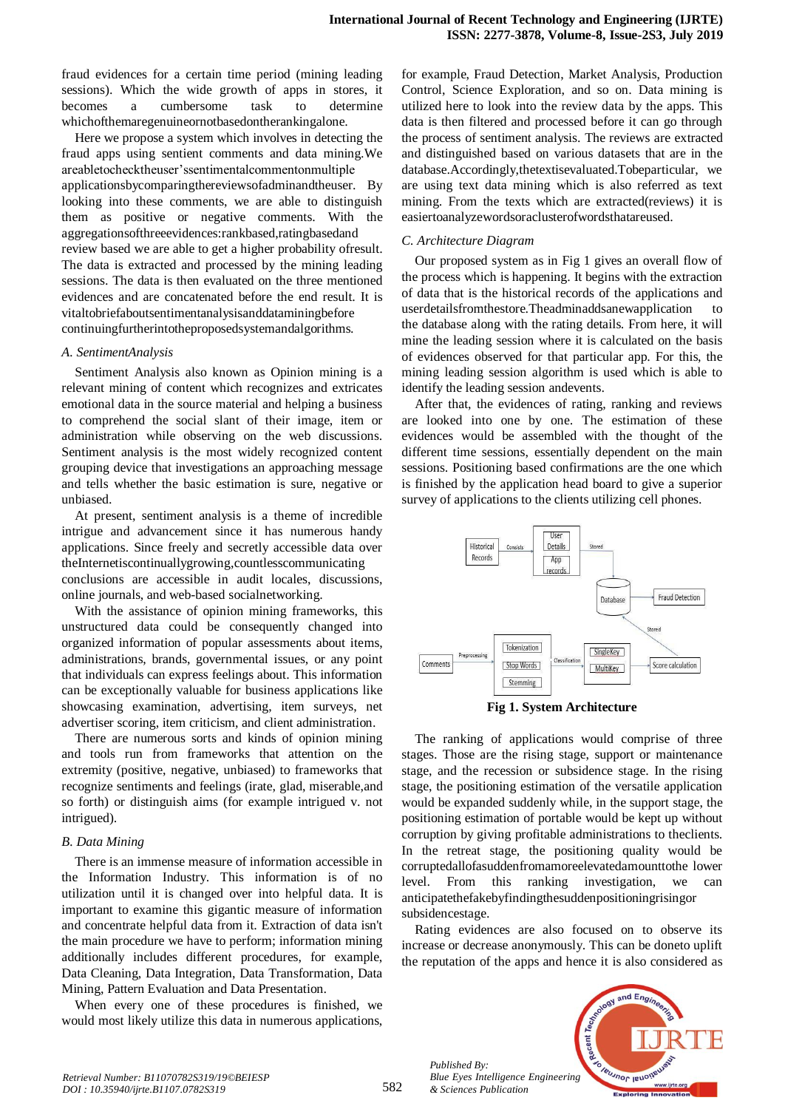fraud evidences for a certain time period (mining leading sessions). Which the wide growth of apps in stores, it becomes a cumbersome task to determine whichofthemaregenuineornotbasedontherankingalone.

Here we propose a system which involves in detecting the fraud apps using sentient comments and data mining.We areabletochecktheuser'ssentimentalcommentonmultiple applicationsbycomparingthereviewsofadminandtheuser. By looking into these comments, we are able to distinguish them as positive or negative comments. With the aggregationsofthreeevidences:rankbased,ratingbasedand review based we are able to get a higher probability ofresult. The data is extracted and processed by the mining leading sessions. The data is then evaluated on the three mentioned evidences and are concatenated before the end result. It is vitaltobriefaboutsentimentanalysisanddataminingbefore continuingfurtherintotheproposedsystemandalgorithms.

#### *A. SentimentAnalysis*

Sentiment Analysis also known as Opinion mining is a relevant mining of content which recognizes and extricates emotional data in the source material and helping a business to comprehend the social slant of their image, item or administration while observing on the web discussions. Sentiment analysis is the most widely recognized content grouping device that investigations an approaching message and tells whether the basic estimation is sure, negative or unbiased.

At present, sentiment analysis is a theme of incredible intrigue and advancement since it has numerous handy applications. Since freely and secretly accessible data over theInternetiscontinuallygrowing,countlesscommunicating conclusions are accessible in audit locales, discussions, online journals, and web-based socialnetworking.

With the assistance of opinion mining frameworks, this unstructured data could be consequently changed into organized information of popular assessments about items, administrations, brands, governmental issues, or any point that individuals can express feelings about. This information can be exceptionally valuable for business applications like showcasing examination, advertising, item surveys, net advertiser scoring, item criticism, and client administration.

There are numerous sorts and kinds of opinion mining and tools run from frameworks that attention on the extremity (positive, negative, unbiased) to frameworks that recognize sentiments and feelings (irate, glad, miserable,and so forth) or distinguish aims (for example intrigued v. not intrigued).

#### *B. Data Mining*

There is an immense measure of information accessible in the Information Industry. This information is of no utilization until it is changed over into helpful data. It is important to examine this gigantic measure of information and concentrate helpful data from it. Extraction of data isn't the main procedure we have to perform; information mining additionally includes different procedures, for example, Data Cleaning, Data Integration, Data Transformation, Data Mining, Pattern Evaluation and Data Presentation.

When every one of these procedures is finished, we would most likely utilize this data in numerous applications,

for example, Fraud Detection, Market Analysis, Production Control, Science Exploration, and so on. Data mining is utilized here to look into the review data by the apps. This data is then filtered and processed before it can go through the process of sentiment analysis. The reviews are extracted and distinguished based on various datasets that are in the database.Accordingly,thetextisevaluated.Tobeparticular, we are using text data mining which is also referred as text mining. From the texts which are extracted(reviews) it is easiertoanalyzewordsoraclusterofwordsthatareused.

#### *C. Architecture Diagram*

Our proposed system as in Fig 1 gives an overall flow of the process which is happening. It begins with the extraction of data that is the historical records of the applications and userdetailsfromthestore.Theadminaddsanewapplication to the database along with the rating details. From here, it will mine the leading session where it is calculated on the basis of evidences observed for that particular app. For this, the mining leading session algorithm is used which is able to identify the leading session andevents.

After that, the evidences of rating, ranking and reviews are looked into one by one. The estimation of these evidences would be assembled with the thought of the different time sessions, essentially dependent on the main sessions. Positioning based confirmations are the one which is finished by the application head board to give a superior survey of applications to the clients utilizing cell phones.



**Fig 1. System Architecture**

The ranking of applications would comprise of three stages. Those are the rising stage, support or maintenance stage, and the recession or subsidence stage. In the rising stage, the positioning estimation of the versatile application would be expanded suddenly while, in the support stage, the positioning estimation of portable would be kept up without corruption by giving profitable administrations to theclients. In the retreat stage, the positioning quality would be corruptedallofasuddenfromamoreelevatedamounttothe lower level. From this ranking investigation, we can anticipatethefakebyfindingthesuddenpositioningrisingor subsidencestage.

Rating evidences are also focused on to observe its increase or decrease anonymously. This can be doneto uplift the reputation of the apps and hence it is also considered as



*Published By:*

*& Sciences Publication*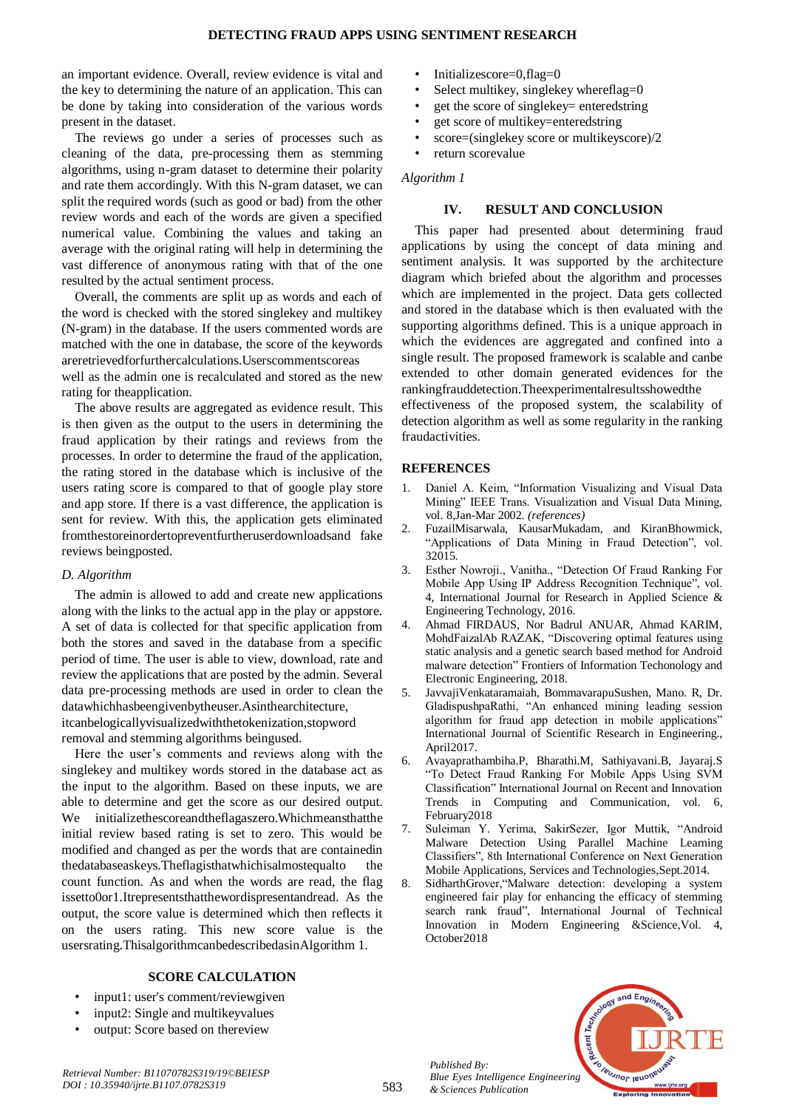an important evidence. Overall, review evidence is vital and the key to determining the nature of an application. This can be done by taking into consideration of the various words present in the dataset.

The reviews go under a series of processes such as cleaning of the data, pre-processing them as stemming algorithms, using n-gram dataset to determine their polarity and rate them accordingly. With this N-gram dataset, we can split the required words (such as good or bad) from the other review words and each of the words are given a specified numerical value. Combining the values and taking an average with the original rating will help in determining the vast difference of anonymous rating with that of the one resulted by the actual sentiment process.

Overall, the comments are split up as words and each of the word is checked with the stored singlekey and multikey (N-gram) in the database. If the users commented words are matched with the one in database, the score of the keywords areretrievedforfurthercalculations.Userscommentscoreas well as the admin one is recalculated and stored as the new rating for theapplication.

The above results are aggregated as evidence result. This is then given as the output to the users in determining the fraud application by their ratings and reviews from the processes. In order to determine the fraud of the application, the rating stored in the database which is inclusive of the users rating score is compared to that of google play store and app store. If there is a vast difference, the application is sent for review. With this, the application gets eliminated fromthestoreinordertopreventfurtheruserdownloadsand fake reviews beingposted.

## *D. Algorithm*

The admin is allowed to add and create new applications along with the links to the actual app in the play or appstore. A set of data is collected for that specific application from both the stores and saved in the database from a specific period of time. The user is able to view, download, rate and review the applications that are posted by the admin. Several data pre-processing methods are used in order to clean the datawhichhasbeengivenbytheuser.Asinthearchitecture, itcanbelogicallyvisualizedwiththetokenization,stopword removal and stemming algorithms beingused.

Here the user's comments and reviews along with the singlekey and multikey words stored in the database act as the input to the algorithm. Based on these inputs, we are able to determine and get the score as our desired output. We initializethescoreandtheflagaszero.Whichmeansthatthe initial review based rating is set to zero. This would be modified and changed as per the words that are containedin thedatabaseaskeys.Theflagisthatwhichisalmostequalto the count function. As and when the words are read, the flag issetto0or1.Itrepresentsthatthewordispresentandread. As the output, the score value is determined which then reflects it on the users rating. This new score value is the usersrating.ThisalgorithmcanbedescribedasinAlgorithm 1.

# **SCORE CALCULATION**

- input1: user's comment/reviewgiven
- input2: Single and multikeyvalues
- output: Score based on thereview
- Initializescore=0,flag=0
- Select multikey, singlekey whereflag=0
- get the score of singlekey= enteredstring
- get score of multikey=enteredstring
- score=(singlekey score or multikeyscore)/2
- return scorevalue

# *Algorithm 1*

## **IV. RESULT AND CONCLUSION**

This paper had presented about determining fraud applications by using the concept of data mining and sentiment analysis. It was supported by the architecture diagram which briefed about the algorithm and processes which are implemented in the project. Data gets collected and stored in the database which is then evaluated with the supporting algorithms defined. This is a unique approach in which the evidences are aggregated and confined into a single result. The proposed framework is scalable and canbe extended to other domain generated evidences for the rankingfrauddetection.Theexperimentalresultsshowedthe

effectiveness of the proposed system, the scalability of detection algorithm as well as some regularity in the ranking fraudactivities.

# **REFERENCES**

- 1. Daniel A. Keim, "Information Visualizing and Visual Data Mining" IEEE Trans. Visualization and Visual Data Mining, vol. 8,Jan-Mar 2002. *(references)*
- 2. FuzailMisarwala, KausarMukadam, and KiranBhowmick, "Applications of Data Mining in Fraud Detection", vol. 32015.
- 3. Esther Nowroji., Vanitha., "Detection Of Fraud Ranking For Mobile App Using IP Address Recognition Technique", vol. 4, International Journal for Research in Applied Science & Engineering Technology, 2016.
- 4. Ahmad FIRDAUS, Nor Badrul ANUAR, Ahmad KARIM, MohdFaizalAb RAZAK, "Discovering optimal features using static analysis and a genetic search based method for Android malware detection" Frontiers of Information Techonology and Electronic Engineering, 2018.
- 5. JavvajiVenkataramaiah, BommavarapuSushen, Mano. R, Dr. GladispushpaRathi, "An enhanced mining leading session algorithm for fraud app detection in mobile applications" International Journal of Scientific Research in Engineering., April2017.
- 6. Avayaprathambiha.P, Bharathi.M, Sathiyavani.B, Jayaraj.S "To Detect Fraud Ranking For Mobile Apps Using SVM Classification" International Journal on Recent and Innovation Trends in Computing and Communication, vol. 6, February2018
- 7. Suleiman Y. Yerima, SakirSezer, Igor Muttik, "Android Malware Detection Using Parallel Machine Learning Classifiers", 8th International Conference on Next Generation Mobile Applications, Services and Technologies,Sept.2014.
- 8. SidharthGrover,"Malware detection: developing a system engineered fair play for enhancing the efficacy of stemming search rank fraud", International Journal of Technical Innovation in Modern Engineering &Science,Vol. 4, October2018